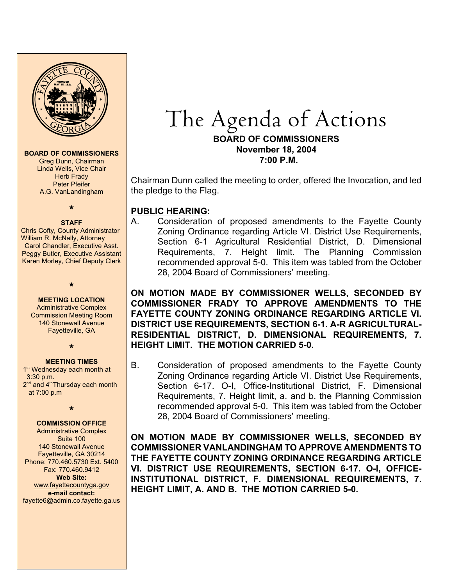

#### **BOARD OF COMMISSIONERS**

Greg Dunn, Chairman Linda Wells, Vice Chair Herb Frady Peter Pfeifer A.G. VanLandingham

### $\star$

### **STAFF**

Chris Cofty, County Administrator William R. McNally, Attorney Carol Chandler, Executive Asst. Peggy Butler, Executive Assistant Karen Morley, Chief Deputy Clerk

### $\star$ **MEETING LOCATION**

Administrative Complex Commission Meeting Room 140 Stonewall Avenue Fayetteville, GA

 $\star$ 

### **MEETING TIMES**

1<sup>st</sup> Wednesday each month at 3:30 p.m.  $2<sup>nd</sup>$  and  $4<sup>th</sup>$ Thursday each month at 7:00 p.m

 $\star$ 

### **COMMISSION OFFICE**

Administrative Complex Suite 100 140 Stonewall Avenue Fayetteville, GA 30214 Phone: 770.460.5730 Ext. 5400 Fax: 770.460.9412 **Web Site:** [www.fayettecountyga.gov](http://www.admin.co.fayette.ga.us) **e-mail contact:** fayette6@admin.co.fayette.ga.us

# The Agenda of Actions **BOARD OF COMMISSIONERS**

**November 18, 2004 7:00 P.M.**

Chairman Dunn called the meeting to order, offered the Invocation, and led the pledge to the Flag.

## **PUBLIC HEARING:**

A. Consideration of proposed amendments to the Fayette County Zoning Ordinance regarding Article VI. District Use Requirements, Section 6-1 Agricultural Residential District, D. Dimensional Requirements, 7. Height limit. The Planning Commission recommended approval 5-0. This item was tabled from the October 28, 2004 Board of Commissioners' meeting.

**ON MOTION MADE BY COMMISSIONER WELLS, SECONDED BY COMMISSIONER FRADY TO APPROVE AMENDMENTS TO THE FAYETTE COUNTY ZONING ORDINANCE REGARDING ARTICLE VI. DISTRICT USE REQUIREMENTS, SECTION 6-1. A-R AGRICULTURAL-RESIDENTIAL DISTRICT, D. DIMENSIONAL REQUIREMENTS, 7. HEIGHT LIMIT. THE MOTION CARRIED 5-0.** 

B. Consideration of proposed amendments to the Fayette County Zoning Ordinance regarding Article VI. District Use Requirements, Section 6-17. O-I, Office-Institutional District, F. Dimensional Requirements, 7. Height limit, a. and b. the Planning Commission recommended approval 5-0. This item was tabled from the October 28, 2004 Board of Commissioners' meeting.

**ON MOTION MADE BY COMMISSIONER WELLS, SECONDED BY COMMISSIONER VANLANDINGHAM TO APPROVE AMENDMENTS TO THE FAYETTE COUNTY ZONING ORDINANCE REGARDING ARTICLE VI. DISTRICT USE REQUIREMENTS, SECTION 6-17. O-I, OFFICE-INSTITUTIONAL DISTRICT, F. DIMENSIONAL REQUIREMENTS, 7. HEIGHT LIMIT, A. AND B. THE MOTION CARRIED 5-0.**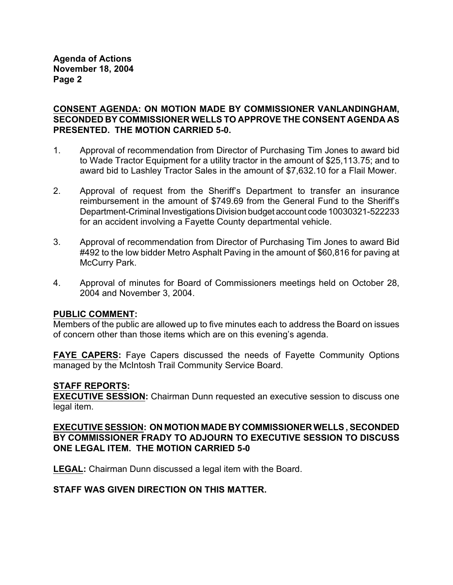**Agenda of Actions November 18, 2004 Page 2**

### **CONSENT AGENDA: ON MOTION MADE BY COMMISSIONER VANLANDINGHAM, SECONDED BY COMMISSIONER WELLS TO APPROVE THE CONSENT AGENDA AS PRESENTED. THE MOTION CARRIED 5-0.**

- 1. Approval of recommendation from Director of Purchasing Tim Jones to award bid to Wade Tractor Equipment for a utility tractor in the amount of \$25,113.75; and to award bid to Lashley Tractor Sales in the amount of \$7,632.10 for a Flail Mower.
- 2. Approval of request from the Sheriff's Department to transfer an insurance reimbursement in the amount of \$749.69 from the General Fund to the Sheriff's Department-Criminal Investigations Division budget account code 10030321-522233 for an accident involving a Fayette County departmental vehicle.
- 3. Approval of recommendation from Director of Purchasing Tim Jones to award Bid #492 to the low bidder Metro Asphalt Paving in the amount of \$60,816 for paving at McCurry Park.
- 4. Approval of minutes for Board of Commissioners meetings held on October 28, 2004 and November 3, 2004.

### **PUBLIC COMMENT:**

Members of the public are allowed up to five minutes each to address the Board on issues of concern other than those items which are on this evening's agenda.

**FAYE CAPERS:** Faye Capers discussed the needs of Fayette Community Options managed by the McIntosh Trail Community Service Board.

### **STAFF REPORTS:**

**EXECUTIVE SESSION:** Chairman Dunn requested an executive session to discuss one legal item.

**EXECUTIVE SESSION: ON MOTION MADE BY COMMISSIONER WELLS , SECONDED BY COMMISSIONER FRADY TO ADJOURN TO EXECUTIVE SESSION TO DISCUSS ONE LEGAL ITEM. THE MOTION CARRIED 5-0**

**LEGAL:** Chairman Dunn discussed a legal item with the Board.

### **STAFF WAS GIVEN DIRECTION ON THIS MATTER.**